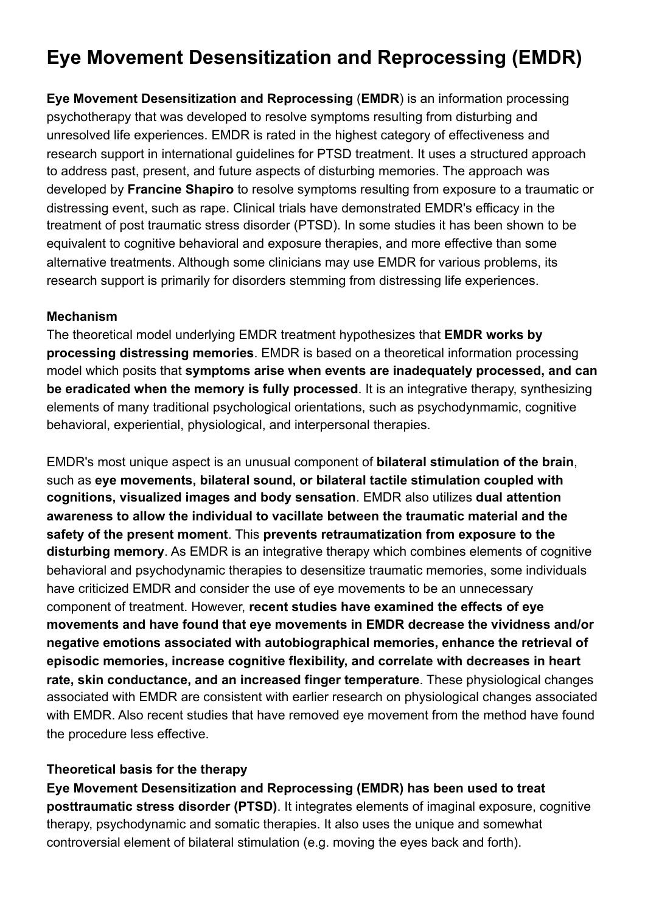# **Eye Movement Desensitization and Reprocessing (EMDR)**

**Eye Movement Desensitization and Reprocessing** (**EMDR**) is an information processing psychotherapy that was developed to resolve symptoms resulting from disturbing and unresolved life experiences. EMDR is rated in the highest category of effectiveness and research support in international guidelines for PTSD treatment. It uses a structured approach to address past, present, and future aspects of disturbing memories. The approach was developed by **Francine Shapiro** to resolve symptoms resulting from exposure to a traumatic or distressing event, such as rape. Clinical trials have demonstrated EMDR's efficacy in the treatment of post traumatic stress disorder (PTSD). In some studies it has been shown to be equivalent to cognitive behavioral and exposure therapies, and more effective than some alternative treatments. Although some clinicians may use EMDR for various problems, its research support is primarily for disorders stemming from distressing life experiences.

## **Mechanism**

The theoretical model underlying EMDR treatment hypothesizes that **EMDR works by processing distressing memories**. EMDR is based on a theoretical information processing model which posits that **symptoms arise when events are inadequately processed, and can be eradicated when the memory is fully processed**. It is an integrative therapy, synthesizing elements of many traditional psychological orientations, such as psychodynmamic, cognitive behavioral, experiential, physiological, and interpersonal therapies.

EMDR's most unique aspect is an unusual component of **bilateral stimulation of the brain**, such as **eye movements, bilateral sound, or bilateral tactile stimulation coupled with cognitions, visualized images and body sensation**. EMDR also utilizes **dual attention awareness to allow the individual to vacillate between the traumatic material and the safety of the present moment**. This **prevents retraumatization from exposure to the disturbing memory**. As EMDR is an integrative therapy which combines elements of cognitive behavioral and psychodynamic therapies to desensitize traumatic memories, some individuals have criticized EMDR and consider the use of eye movements to be an unnecessary component of treatment. However, **recent studies have examined the effects of eye movements and have found that eye movements in EMDR decrease the vividness and/or negative emotions associated with autobiographical memories, enhance the retrieval of episodic memories, increase cognitive flexibility, and correlate with decreases in heart rate, skin conductance, and an increased finger temperature**. These physiological changes associated with EMDR are consistent with earlier research on physiological changes associated with EMDR. Also recent studies that have removed eye movement from the method have found the procedure less effective.

# **Theoretical basis for the therapy**

**Eye Movement Desensitization and Reprocessing (EMDR) has been used to treat posttraumatic stress disorder (PTSD)**. It integrates elements of imaginal exposure, cognitive therapy, psychodynamic and somatic therapies. It also uses the unique and somewhat controversial element of bilateral stimulation (e.g. moving the eyes back and forth).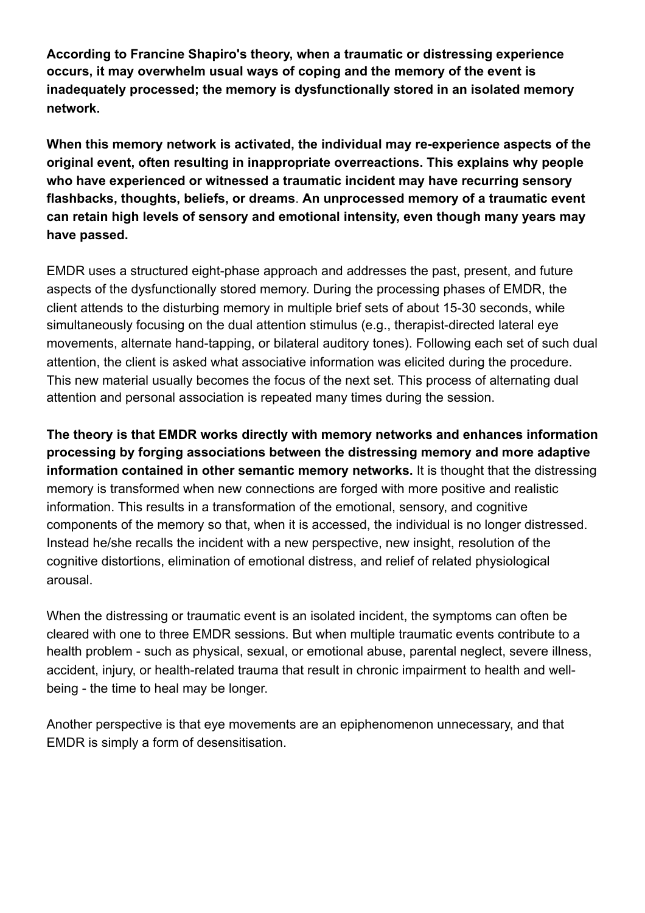**According to Francine Shapiro's theory, when a traumatic or distressing experience occurs, it may overwhelm usual ways of coping and the memory of the event is inadequately processed; the memory is dysfunctionally stored in an isolated memory network.**

**When this memory network is activated, the individual may re-experience aspects of the original event, often resulting in inappropriate overreactions. This explains why people who have experienced or witnessed a traumatic incident may have recurring sensory flashbacks, thoughts, beliefs, or dreams**. **An unprocessed memory of a traumatic event can retain high levels of sensory and emotional intensity, even though many years may have passed.** 

EMDR uses a structured eight-phase approach and addresses the past, present, and future aspects of the dysfunctionally stored memory. During the processing phases of EMDR, the client attends to the disturbing memory in multiple brief sets of about 15-30 seconds, while simultaneously focusing on the dual attention stimulus (e.g., therapist-directed lateral eye movements, alternate hand-tapping, or bilateral auditory tones). Following each set of such dual attention, the client is asked what associative information was elicited during the procedure. This new material usually becomes the focus of the next set. This process of alternating dual attention and personal association is repeated many times during the session.

**The theory is that EMDR works directly with memory networks and enhances information processing by forging associations between the distressing memory and more adaptive information contained in other semantic memory networks.** It is thought that the distressing memory is transformed when new connections are forged with more positive and realistic information. This results in a transformation of the emotional, sensory, and cognitive components of the memory so that, when it is accessed, the individual is no longer distressed. Instead he/she recalls the incident with a new perspective, new insight, resolution of the cognitive distortions, elimination of emotional distress, and relief of related physiological arousal.

When the distressing or traumatic event is an isolated incident, the symptoms can often be cleared with one to three EMDR sessions. But when multiple traumatic events contribute to a health problem - such as physical, sexual, or emotional abuse, parental neglect, severe illness, accident, injury, or health-related trauma that result in chronic impairment to health and wellbeing - the time to heal may be longer.

Another perspective is that eye movements are an epiphenomenon unnecessary, and that EMDR is simply a form of desensitisation.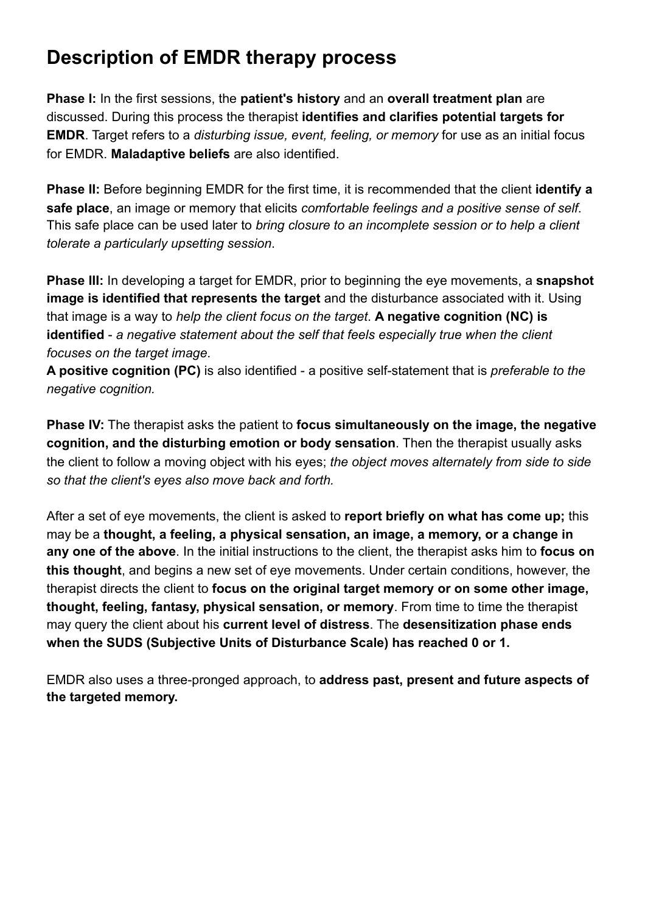# **Description of EMDR therapy process**

**Phase I:** In the first sessions, the **patient's history** and an **overall treatment plan** are discussed. During this process the therapist **identifies and clarifies potential targets for EMDR**. Target refers to a *disturbing issue, event, feeling, or memory* for use as an initial focus for EMDR. **Maladaptive beliefs** are also identified.

**Phase II:** Before beginning EMDR for the first time, it is recommended that the client **identify a safe place**, an image or memory that elicits *comfortable feelings and a positive sense of self*. This safe place can be used later to *bring closure to an incomplete session or to help a client tolerate a particularly upsetting session*.

**Phase III:** In developing a target for EMDR, prior to beginning the eye movements, a **snapshot image is identified that represents the target** and the disturbance associated with it. Using that image is a way to *help the client focus on the target*. **A negative cognition (NC) is identified** - *a negative statement about the self that feels especially true when the client focuses on the target image*.

**A positive cognition (PC)** is also identified - a positive self-statement that is *preferable to the negative cognition.*

**Phase IV:** The therapist asks the patient to **focus simultaneously on the image, the negative cognition, and the disturbing emotion or body sensation**. Then the therapist usually asks the client to follow a moving object with his eyes; *the object moves alternately from side to side so that the client's eyes also move back and forth.*

After a set of eye movements, the client is asked to **report briefly on what has come up;** this may be a **thought, a feeling, a physical sensation, an image, a memory, or a change in any one of the above**. In the initial instructions to the client, the therapist asks him to **focus on this thought**, and begins a new set of eye movements. Under certain conditions, however, the therapist directs the client to **focus on the original target memory or on some other image, thought, feeling, fantasy, physical sensation, or memory**. From time to time the therapist may query the client about his **current level of distress**. The **desensitization phase ends when the SUDS (Subjective Units of Disturbance Scale) has reached 0 or 1.** 

EMDR also uses a three-pronged approach, to **address past, present and future aspects of the targeted memory.**